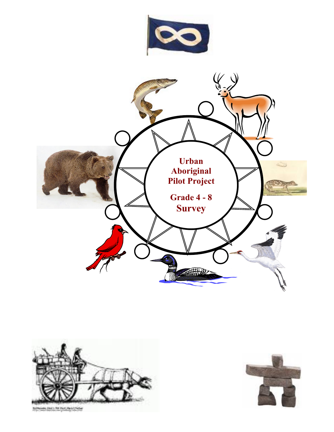



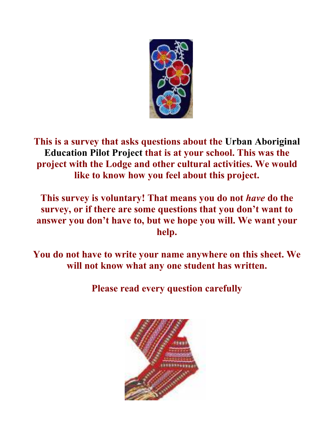

**This is a survey that asks questions about the Urban Aboriginal Education Pilot Project that is at your school. This was the project with the Lodge and other cultural activities. We would like to know how you feel about this project.** 

**This survey is voluntary! That means you do not** *have* **do the survey, or if there are some questions that you don't want to answer you don't have to, but we hope you will. We want your help.** 

**You do not have to write your name anywhere on this sheet. We will not know what any one student has written.** 

**Please read every question carefully** 

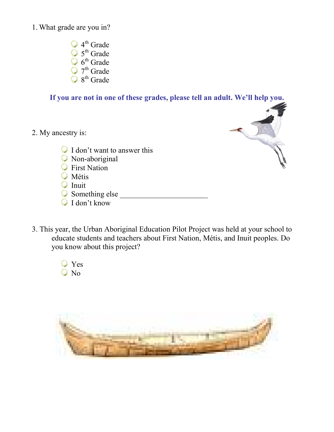1. What grade are you in?

- 4<sup>th</sup> Grade 5<sup>th</sup> Grade 6<sup>th</sup> Grade 7<sup>th</sup> Grade
- 8<sup>th</sup> Grade

## **If you are not in one of these grades, please tell an adult. We'll help you.**

2. My ancestry is:



- I don't want to answer this
- Non-aboriginal
- **C** First Nation
- **W**étis
- $\bigcirc$  Inuit
- $\bigcirc$  Something else
- I don't know
- 3. This year, the Urban Aboriginal Education Pilot Project was held at your school to educate students and teachers about First Nation, Métis, and Inuit peoples. Do you know about this project?
	- Yes  $\bigcirc$  No

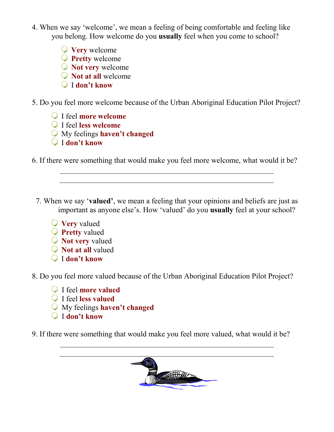- 4. When we say 'welcome', we mean a feeling of being comfortable and feeling like you belong. How welcome do you **usually** feel when you come to school?
	- **Very** welcome
	- **Pretty** welcome
	- **Not very** welcome
	- **Not at all** welcome
	- I **don't know**

5. Do you feel more welcome because of the Urban Aboriginal Education Pilot Project?

- I feel **more welcome**
- I feel **less welcome**
- My feelings **haven't changed**
- I **don't know**

6. If there were something that would make you feel more welcome, what would it be?

- 7. When we say '**valued'**, we mean a feeling that your opinions and beliefs are just as important as anyone else's. How 'valued' do you **usually** feel at your school?
	- **Very** valued
	- **Pretty** valued
	- **Not very** valued
	- **Not at all** valued
	- I **don't know**
- 8. Do you feel more valued because of the Urban Aboriginal Education Pilot Project?
	- I feel **more valued**
	- I feel **less valued**
	- My feelings **haven't changed**
	- I **don't know**

9. If there were something that would make you feel more valued, what would it be?

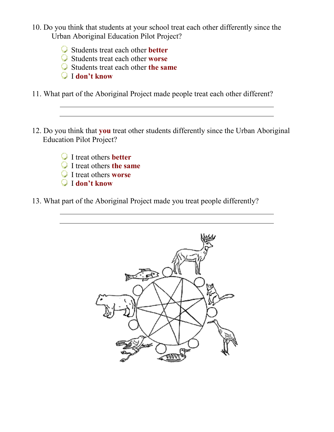- 10. Do you think that students at your school treat each other differently since the Urban Aboriginal Education Pilot Project?
	- Students treat each other **better**
	- Students treat each other **worse**
	- Students treat each other **the same**
	- I **don't know**
- 11. What part of the Aboriginal Project made people treat each other different?
- 12. Do you think that **you** treat other students differently since the Urban Aboriginal Education Pilot Project?
	- I treat others **better**
	- I treat others **the same**
	- I treat others **worse**
	- I **don't know**
- 13. What part of the Aboriginal Project made you treat people differently?

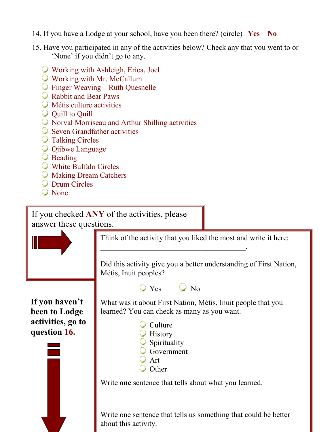- 14. If you have a Lodge at your school, have you been there? (circle) **Yes No**
- 15. Have you participated in any of the activities below? Check any that you went to or 'None' if you didn't go to any.
	- Working with Ashleigh, Erica, Joel
	- Working with Mr. McCallum
	- Finger Weaving Ruth Quesnelle
	- Rabbit and Bear Paws
	- **M**étis culture activities
	- $\bigcirc$  Quill to Quill
	- Norval Morriseau and Arthur Shilling activities
	- **Seven Grandfather activities**
	- **Talking Circles**
	- **O** Ojibwe Language
	- **Beading**
	- White Buffalo Circles
	- Making Dream Catchers
	- **Q** Drum Circles
	- None

If you checked **ANY** of the activities, please answer these questions.



Think of the activity that you liked the most and write it here:

Did this activity give you a better understanding of First Nation, Métis, Inuit peoples?

 $\bigcirc$  Yes  $\bigcirc$  No

 $\overline{\phantom{a}}$  ,  $\overline{\phantom{a}}$  ,  $\overline{\phantom{a}}$  ,  $\overline{\phantom{a}}$  ,  $\overline{\phantom{a}}$  ,  $\overline{\phantom{a}}$  ,  $\overline{\phantom{a}}$  ,  $\overline{\phantom{a}}$  ,  $\overline{\phantom{a}}$  ,  $\overline{\phantom{a}}$  ,  $\overline{\phantom{a}}$  ,  $\overline{\phantom{a}}$  ,  $\overline{\phantom{a}}$  ,  $\overline{\phantom{a}}$  ,  $\overline{\phantom{a}}$  ,  $\overline{\phantom{a}}$ 

**If you haven't been to Lodge activities, go to question 16.** 



What was it about First Nation, Métis, Inuit people that you learned? You can check as many as you want.

| $\bigcirc$ Culture      |  |
|-------------------------|--|
| $\bigcirc$ History      |  |
| $\bigcirc$ Spirituality |  |
| Government              |  |
| $Q$ Art                 |  |
| $\bigcirc$ Other        |  |
|                         |  |

Write **one** sentence that tells about what you learned.

Write one sentence that tells us something that could be better about this activity.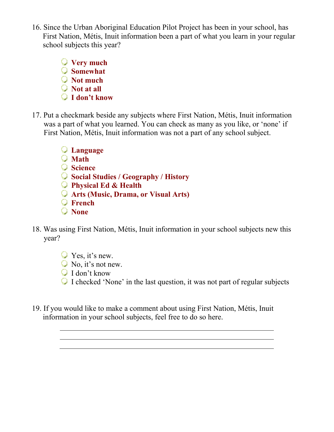16. Since the Urban Aboriginal Education Pilot Project has been in your school, has First Nation, Métis, Inuit information been a part of what you learn in your regular school subjects this year?

> **Very much Somewhat Not much Not at all I don't know**

- 17. Put a checkmark beside any subjects where First Nation, Métis, Inuit information was a part of what you learned. You can check as many as you like, or 'none' if First Nation, Métis, Inuit information was not a part of any school subject.
	- **Language**
	- **Math**
	- **Science**
	- **Social Studies / Geography / History**
	- **Physical Ed & Health**
	- **Arts (Music, Drama, or Visual Arts)**
	- **French**
	- **None**
- 18. Was using First Nation, Métis, Inuit information in your school subjects new this year?
	- $\bigcirc$  Yes, it's new.
	- $\bigcirc$  No, it's not new.
	- I don't know
	- I checked 'None' in the last question, it was not part of regular subjects
- 19. If you would like to make a comment about using First Nation, Métis, Inuit information in your school subjects, feel free to do so here.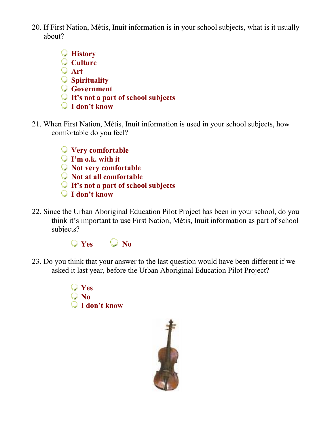- 20. If First Nation, Métis, Inuit information is in your school subjects, what is it usually about?
	- **History Culture Art Spirituality Government It's not a part of school subjects I don't know**
- 21. When First Nation, Métis, Inuit information is used in your school subjects, how comfortable do you feel?
	- **Very comfortable**
	- **I'm o.k. with it**
	- **Not very comfortable**
	- **Not at all comfortable**
	- **It's not a part of school subjects**
	- **I don't know**
- 22. Since the Urban Aboriginal Education Pilot Project has been in your school, do you think it's important to use First Nation, Métis, Inuit information as part of school subjects?



- 23. Do you think that your answer to the last question would have been different if we asked it last year, before the Urban Aboriginal Education Pilot Project?
	- **Yes No I don't know**

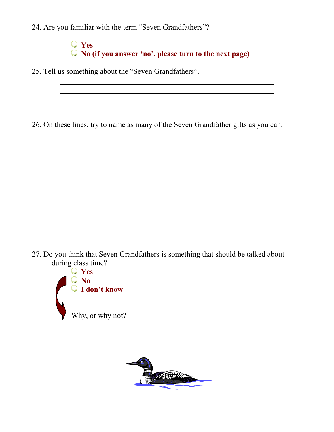24. Are you familiar with the term "Seven Grandfathers"?

**Yes No (if you answer 'no', please turn to the next page)** 

25. Tell us something about the "Seven Grandfathers".

26. On these lines, try to name as many of the Seven Grandfather gifts as you can.

27. Do you think that Seven Grandfathers is something that should be talked about during class time?

<u> 1980 - Johann Barbara, martin amerikan basar dan basar dan basar dalam basar dalam basar dan basar dalam basa</u>